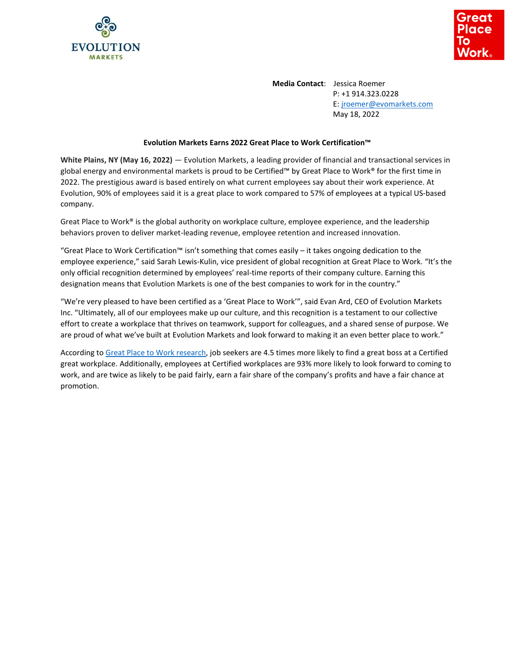



**Media Contact**: Jessica Roemer P: +1 914.323.0228 E: [jroemer@evomarkets.com](mailto:jroemer@evomarkets.com) May 18, 2022

## **Evolution Markets Earns 2022 Great Place to Work Certification™**

**White Plains, NY (May 16, 2022)** — Evolution Markets, a leading provider of financial and transactional services in global energy and environmental markets is proud to be Certified™ by Great Place to Work® for the first time in 2022. The prestigious award is based entirely on what current employees say about their work experience. At Evolution, 90% of employees said it is a great place to work compared to 57% of employees at a typical US-based company.

Great Place to Work® is the global authority on workplace culture, employee experience, and the leadership behaviors proven to deliver market-leading revenue, employee retention and increased innovation.

"Great Place to Work Certification™ isn't something that comes easily – it takes ongoing dedication to the employee experience," said Sarah Lewis-Kulin, vice president of global recognition at Great Place to Work. "It's the only official recognition determined by employees' real-time reports of their company culture. Earning this designation means that Evolution Markets is one of the best companies to work for in the country."

"We're very pleased to have been certified as a 'Great Place to Work'", said Evan Ard, CEO of Evolution Markets Inc. "Ultimately, all of our employees make up our culture, and this recognition is a testament to our collective effort to create a workplace that thrives on teamwork, support for colleagues, and a shared sense of purpose. We are proud of what we've built at Evolution Markets and look forward to making it an even better place to work."

According t[o Great Place to Work research,](https://www.greatplacetowork.com/resources/blog/job-seekers-are-4-5x-more-likely-to-find-a-great-boss-at-a-certified-great-workplace) job seekers are 4.5 times more likely to find a great boss at a Certified great workplace. Additionally, employees at Certified workplaces are 93% more likely to look forward to coming to work, and are twice as likely to be paid fairly, earn a fair share of the company's profits and have a fair chance at promotion.